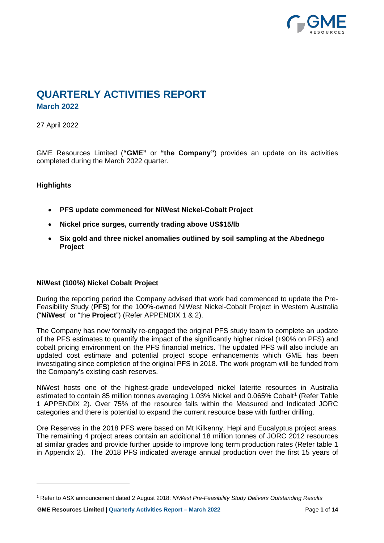

## **QUARTERLY ACTIVITIES REPORT March 2022**

## 27 April 2022

GME Resources Limited (**"GME"** or **"the Company"**) provides an update on its activities completed during the March 2022 quarter.

## **Highlights**

- **PFS update commenced for NiWest Nickel-Cobalt Project**
- **Nickel price surges, currently trading above US\$15/lb**
- **Six gold and three nickel anomalies outlined by soil sampling at the Abednego Project**

#### **NiWest (100%) Nickel Cobalt Project**

During the reporting period the Company advised that work had commenced to update the Pre-Feasibility Study (**PFS**) for the 100%-owned NiWest Nickel-Cobalt Project in Western Australia ("**NiWest**" or "the **Project**") (Refer APPENDIX 1 & 2).

The Company has now formally re-engaged the original PFS study team to complete an update of the PFS estimates to quantify the impact of the significantly higher nickel (+90% on PFS) and cobalt pricing environment on the PFS financial metrics. The updated PFS will also include an updated cost estimate and potential project scope enhancements which GME has been investigating since completion of the original PFS in 2018. The work program will be funded from the Company's existing cash reserves.

NiWest hosts one of the highest-grade undeveloped nickel laterite resources in Australia estimated to contain 85 million tonnes averaging [1](#page-0-0).03% Nickel and 0.065% Cobalt<sup>1</sup> (Refer Table 1 APPENDIX 2). Over 75% of the resource falls within the Measured and Indicated JORC categories and there is potential to expand the current resource base with further drilling.

Ore Reserves in the 2018 PFS were based on Mt Kilkenny, Hepi and Eucalyptus project areas. The remaining 4 project areas contain an additional 18 million tonnes of JORC 2012 resources at similar grades and provide further upside to improve long term production rates (Refer table 1 in Appendix 2). The 2018 PFS indicated average annual production over the first 15 years of

<span id="page-0-0"></span><sup>1</sup> Refer to ASX announcement dated 2 August 2018: *NiWest Pre-Feasibility Study Delivers Outstanding Results*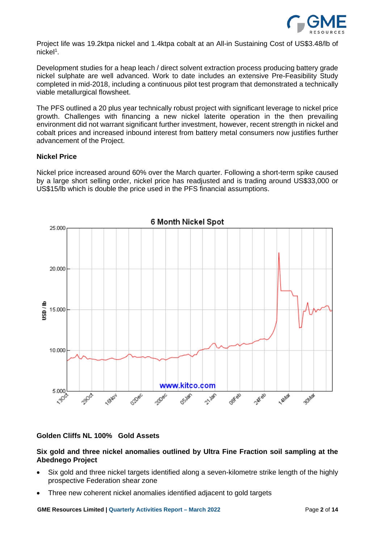

Project life was 19.2ktpa nickel and 1.4ktpa cobalt at an All-in Sustaining Cost of US\$3.48/lb of nickel1.

Development studies for a heap leach / direct solvent extraction process producing battery grade nickel sulphate are well advanced. Work to date includes an extensive Pre-Feasibility Study completed in mid-2018, including a continuous pilot test program that demonstrated a technically viable metallurgical flowsheet.

The PFS outlined a 20 plus year technically robust project with significant leverage to nickel price growth. Challenges with financing a new nickel laterite operation in the then prevailing environment did not warrant significant further investment, however, recent strength in nickel and cobalt prices and increased inbound interest from battery metal consumers now justifies further advancement of the Project.

#### **Nickel Price**

Nickel price increased around 60% over the March quarter. Following a short-term spike caused by a large short selling order, nickel price has readjusted and is trading around US\$33,000 or US\$15/lb which is double the price used in the PFS financial assumptions.



#### **Golden Cliffs NL 100% Gold Assets**

## **Six gold and three nickel anomalies outlined by Ultra Fine Fraction soil sampling at the Abednego Project**

- Six gold and three nickel targets identified along a seven-kilometre strike length of the highly prospective Federation shear zone
- Three new coherent nickel anomalies identified adjacent to gold targets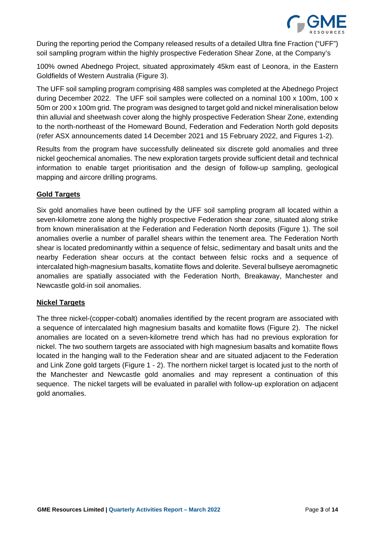

During the reporting period the Company released results of a detailed Ultra fine Fraction ("UFF") soil sampling program within the highly prospective Federation Shear Zone, at the Company's

100% owned Abednego Project, situated approximately 45km east of Leonora, in the Eastern Goldfields of Western Australia (Figure 3).

The UFF soil sampling program comprising 488 samples was completed at the Abednego Project during December 2022. The UFF soil samples were collected on a nominal 100 x 100m, 100 x 50m or 200 x 100m grid. The program was designed to target gold and nickel mineralisation below thin alluvial and sheetwash cover along the highly prospective Federation Shear Zone, extending to the north-northeast of the Homeward Bound, Federation and Federation North gold deposits (refer ASX announcements dated 14 December 2021 and 15 February 2022, and Figures 1-2).

Results from the program have successfully delineated six discrete gold anomalies and three nickel geochemical anomalies. The new exploration targets provide sufficient detail and technical information to enable target prioritisation and the design of follow-up sampling, geological mapping and aircore drilling programs.

## **Gold Targets**

Six gold anomalies have been outlined by the UFF soil sampling program all located within a seven-kilometre zone along the highly prospective Federation shear zone, situated along strike from known mineralisation at the Federation and Federation North deposits (Figure 1). The soil anomalies overlie a number of parallel shears within the tenement area. The Federation North shear is located predominantly within a sequence of felsic, sedimentary and basalt units and the nearby Federation shear occurs at the contact between felsic rocks and a sequence of intercalated high-magnesium basalts, komatiite flows and dolerite. Several bullseye aeromagnetic anomalies are spatially associated with the Federation North, Breakaway, Manchester and Newcastle gold-in soil anomalies.

## **Nickel Targets**

The three nickel-(copper-cobalt) anomalies identified by the recent program are associated with a sequence of intercalated high magnesium basalts and komatiite flows (Figure 2). The nickel anomalies are located on a seven-kilometre trend which has had no previous exploration for nickel. The two southern targets are associated with high magnesium basalts and komatiite flows located in the hanging wall to the Federation shear and are situated adjacent to the Federation and Link Zone gold targets (Figure 1 - 2). The northern nickel target is located just to the north of the Manchester and Newcastle gold anomalies and may represent a continuation of this sequence. The nickel targets will be evaluated in parallel with follow-up exploration on adjacent gold anomalies.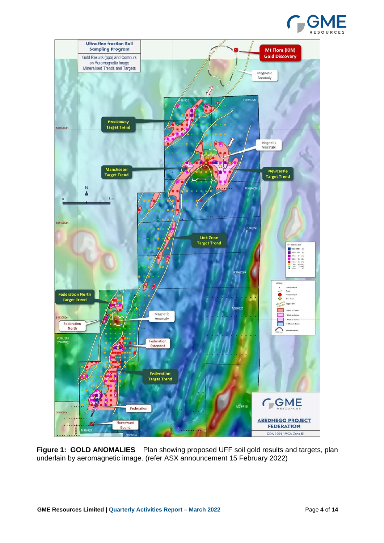



**Figure 1: GOLD ANOMALIES** Plan showing proposed UFF soil gold results and targets, plan underlain by aeromagnetic image. (refer ASX announcement 15 February 2022)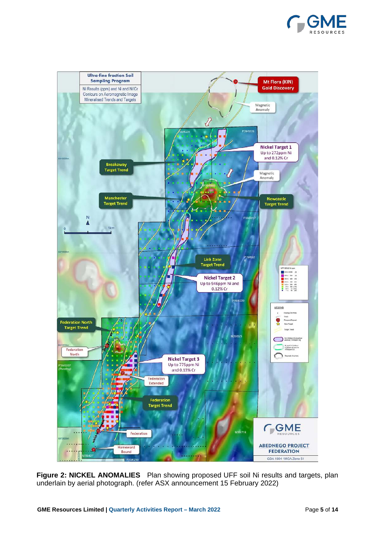



**Figure 2: NICKEL ANOMALIES** Plan showing proposed UFF soil Ni results and targets, plan underlain by aerial photograph. (refer ASX announcement 15 February 2022)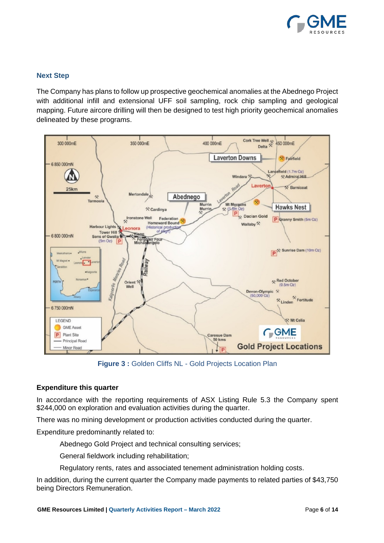

## **Next Step**

The Company has plans to follow up prospective geochemical anomalies at the Abednego Project with additional infill and extensional UFF soil sampling, rock chip sampling and geological mapping. Future aircore drilling will then be designed to test high priority geochemical anomalies delineated by these programs.



**Figure 3 :** Golden Cliffs NL - Gold Projects Location Plan

## **Expenditure this quarter**

In accordance with the reporting requirements of ASX Listing Rule 5.3 the Company spent \$244,000 on exploration and evaluation activities during the quarter.

There was no mining development or production activities conducted during the quarter.

Expenditure predominantly related to:

Abednego Gold Project and technical consulting services;

General fieldwork including rehabilitation;

Regulatory rents, rates and associated tenement administration holding costs.

In addition, during the current quarter the Company made payments to related parties of \$43,750 being Directors Remuneration.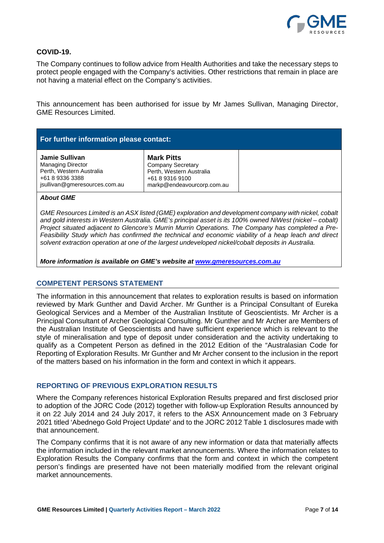

#### **COVID-19.**

The Company continues to follow advice from Health Authorities and take the necessary steps to protect people engaged with the Company's activities. Other restrictions that remain in place are not having a material effect on the Company's activities.

This announcement has been authorised for issue by Mr James Sullivan, Managing Director, GME Resources Limited.

| For further information please contact:                                                                                    |                                                                                                                            |  |  |
|----------------------------------------------------------------------------------------------------------------------------|----------------------------------------------------------------------------------------------------------------------------|--|--|
| Jamie Sullivan<br><b>Managing Director</b><br>Perth, Western Australia<br>+61 8 9336 3388<br>jsullivan@gmeresources.com.au | <b>Mark Pitts</b><br><b>Company Secretary</b><br>Perth, Western Australia<br>+61 8 9316 9100<br>markp@endeavourcorp.com.au |  |  |

#### *About GME*

*GME Resources Limited is an ASX listed (GME) exploration and development company with nickel, cobalt and gold interests in Western Australia. GME's principal asset is its 100% owned NiWest (nickel – cobalt) Project situated adjacent to Glencore's Murrin Murrin Operations. The Company has completed a Pre-Feasibility Study which has confirmed the technical and economic viability of a heap leach and direct solvent extraction operation at one of the largest undeveloped nickel/cobalt deposits in Australia.* 

*More information is available on GME's website at www.gmeresources.com.au*

#### **COMPETENT PERSONS STATEMENT**

The information in this announcement that relates to exploration results is based on information reviewed by Mark Gunther and David Archer. Mr Gunther is a Principal Consultant of Eureka Geological Services and a Member of the Australian Institute of Geoscientists. Mr Archer is a Principal Consultant of Archer Geological Consulting. Mr Gunther and Mr Archer are Members of the Australian Institute of Geoscientists and have sufficient experience which is relevant to the style of mineralisation and type of deposit under consideration and the activity undertaking to qualify as a Competent Person as defined in the 2012 Edition of the "Australasian Code for Reporting of Exploration Results. Mr Gunther and Mr Archer consent to the inclusion in the report of the matters based on his information in the form and context in which it appears.

#### **REPORTING OF PREVIOUS EXPLORATION RESULTS**

Where the Company references historical Exploration Results prepared and first disclosed prior to adoption of the JORC Code (2012) together with follow-up Exploration Results announced by it on 22 July 2014 and 24 July 2017, it refers to the ASX Announcement made on 3 February 2021 titled 'Abednego Gold Project Update' and to the JORC 2012 Table 1 disclosures made with that announcement.

The Company confirms that it is not aware of any new information or data that materially affects the information included in the relevant market announcements. Where the information relates to Exploration Results the Company confirms that the form and context in which the competent person's findings are presented have not been materially modified from the relevant original market announcements.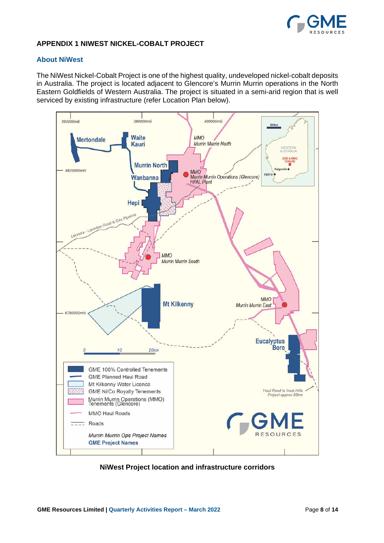

#### **APPENDIX 1 NIWEST NICKEL-COBALT PROJECT**

#### **About NiWest**

The NiWest Nickel-Cobalt Project is one of the highest quality, undeveloped nickel-cobalt deposits in Australia. The project is located adjacent to Glencore's Murrin Murrin operations in the North Eastern Goldfields of Western Australia. The project is situated in a semi-arid region that is well serviced by existing infrastructure (refer Location Plan below).



**NiWest Project location and infrastructure corridors**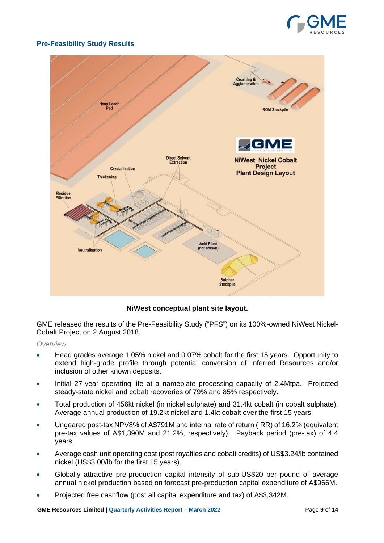

## **Pre-Feasibility Study Results**



**NiWest conceptual plant site layout.**

GME released the results of the Pre-Feasibility Study ("PFS") on its 100%-owned NiWest Nickel-Cobalt Project on 2 August 2018.

#### *Overview*

- Head grades average 1.05% nickel and 0.07% cobalt for the first 15 years. Opportunity to extend high-grade profile through potential conversion of Inferred Resources and/or inclusion of other known deposits.
- Initial 27-year operating life at a nameplate processing capacity of 2.4Mtpa. Projected steady-state nickel and cobalt recoveries of 79% and 85% respectively.
- Total production of 456kt nickel (in nickel sulphate) and 31.4kt cobalt (in cobalt sulphate). Average annual production of 19.2kt nickel and 1.4kt cobalt over the first 15 years.
- Ungeared post-tax NPV8% of A\$791M and internal rate of return (IRR) of 16.2% (equivalent pre-tax values of A\$1,390M and 21.2%, respectively). Payback period (pre-tax) of 4.4 years.
- Average cash unit operating cost (post royalties and cobalt credits) of US\$3.24/lb contained nickel (US\$3.00/lb for the first 15 years).
- Globally attractive pre-production capital intensity of sub-US\$20 per pound of average annual nickel production based on forecast pre-production capital expenditure of A\$966M.
- Projected free cashflow (post all capital expenditure and tax) of A\$3,342M.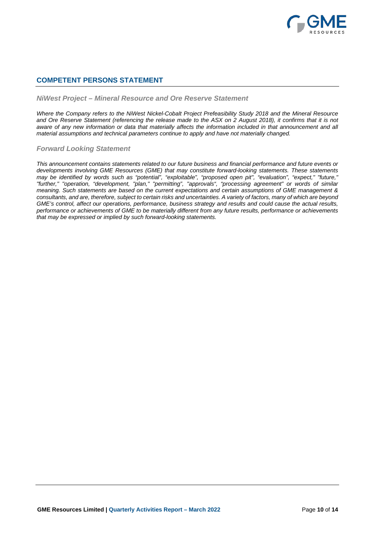

#### **COMPETENT PERSONS STATEMENT**

#### *NiWest Project – Mineral Resource and Ore Reserve Statement*

*Where the Company refers to the NiWest Nickel-Cobalt Project Prefeasibility Study 2018 and the Mineral Resource and Ore Reserve Statement (referencing the release made to the ASX on 2 August 2018), it confirms that it is not*  aware of any new information or data that materially affects the information included in that announcement and all *material assumptions and technical parameters continue to apply and have not materially changed.*

#### *Forward Looking Statement*

*This announcement contains statements related to our future business and financial performance and future events or developments involving GME Resources (GME) that may constitute forward-looking statements. These statements may be identified by words such as "potential", "exploitable", "proposed open pit", "evaluation", "expect," "future," "further," "operation, "development, "plan," "permitting", "approvals", "processing agreement" or words of similar meaning. Such statements are based on the current expectations and certain assumptions of GME management & consultants, and are, therefore, subject to certain risks and uncertainties. A variety of factors, many of which are beyond GME's control, affect our operations, performance, business strategy and results and could cause the actual results, performance or achievements of GME to be materially different from any future results, performance or achievements that may be expressed or implied by such forward-looking statements.*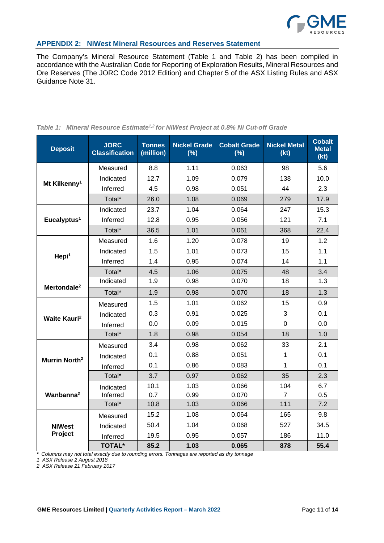

#### **APPENDIX 2: NiWest Mineral Resources and Reserves Statement**

The Company's Mineral Resource Statement (Table 1 and Table 2) has been compiled in accordance with the Australian Code for Reporting of Exploration Results, Mineral Resources and Ore Reserves (The JORC Code 2012 Edition) and Chapter 5 of the ASX Listing Rules and ASX Guidance Note 31.

| <b>Deposit</b>                  | <b>JORC</b><br><b>Classification</b> | <b>Tonnes</b><br>(million) | <b>Nickel Grade</b><br>(%) | <b>Cobalt Grade</b><br>(%) | <b>Nickel Metal</b><br>(kt) | <b>Cobalt</b><br><b>Metal</b><br>(kt) |
|---------------------------------|--------------------------------------|----------------------------|----------------------------|----------------------------|-----------------------------|---------------------------------------|
|                                 | Measured                             | 8.8                        | 1.11                       | 0.063                      | 98                          | 5.6                                   |
| Mt Kilkenny <sup>1</sup>        | Indicated                            | 12.7                       | 1.09                       | 0.079                      | 138                         | 10.0                                  |
|                                 | Inferred                             | 4.5                        | 0.98                       | 0.051                      | 44                          | 2.3                                   |
|                                 | Total*                               | 26.0                       | 1.08                       | 0.069                      | 279                         | 17.9                                  |
|                                 | Indicated                            | 23.7                       | 1.04                       | 0.064                      | 247                         | 15.3                                  |
| Eucalyptus <sup>1</sup>         | Inferred                             | 12.8                       | 0.95                       | 0.056                      | 121                         | 7.1                                   |
|                                 | Total*                               | 36.5                       | 1.01                       | 0.061                      | 368                         | 22.4                                  |
|                                 | Measured                             | 1.6                        | 1.20                       | 0.078                      | 19                          | 1.2                                   |
|                                 | Indicated                            | 1.5                        | 1.01                       | 0.073                      | 15                          | 1.1                                   |
| Hepi <sup>1</sup>               | Inferred                             | 1.4                        | 0.95                       | 0.074                      | 14                          | 1.1                                   |
|                                 | Total*                               | 4.5                        | 1.06                       | 0.075                      | 48                          | 3.4                                   |
| Mertondale <sup>2</sup>         | Indicated                            | 1.9                        | 0.98                       | 0.070                      | 18                          | 1.3                                   |
|                                 | Total*                               | 1.9                        | 0.98                       | 0.070                      | 18                          | 1.3                                   |
|                                 | Measured                             | 1.5                        | 1.01                       | 0.062                      | 15                          | 0.9                                   |
| <b>Waite Kauri</b> <sup>2</sup> | Indicated                            | 0.3                        | 0.91                       | 0.025                      | 3                           | 0.1                                   |
|                                 | Inferred                             | 0.0                        | 0.09                       | 0.015                      | $\mathbf 0$                 | 0.0                                   |
|                                 | Total*                               | 1.8                        | 0.98                       | 0.054                      | 18                          | 1.0                                   |
|                                 | Measured                             | 3.4                        | 0.98                       | 0.062                      | 33                          | 2.1                                   |
| Murrin North <sup>2</sup>       | Indicated                            | 0.1                        | 0.88                       | 0.051                      | 1                           | 0.1                                   |
|                                 | Inferred                             | 0.1                        | 0.86                       | 0.083                      | 1                           | 0.1                                   |
|                                 | Total*                               | 3.7                        | 0.97                       | 0.062                      | 35                          | 2.3                                   |
|                                 | Indicated                            | 10.1                       | 1.03                       | 0.066                      | 104                         | 6.7                                   |
| Wanbanna <sup>2</sup>           | Inferred                             | 0.7                        | 0.99                       | 0.070                      | $\overline{7}$              | 0.5                                   |
|                                 | Total*                               | 10.8                       | 1.03                       | 0.066                      | 111                         | 7.2                                   |
|                                 | Measured                             | 15.2                       | 1.08                       | 0.064                      | 165                         | 9.8                                   |
| <b>NiWest</b>                   | Indicated                            | 50.4                       | 1.04                       | 0.068                      | 527                         | 34.5                                  |
| Project                         | Inferred                             | 19.5                       | 0.95                       | 0.057                      | 186                         | 11.0                                  |
|                                 | <b>TOTAL*</b>                        | 85.2                       | 1.03                       | 0.065                      | 878                         | 55.4                                  |

#### *Table 1: Mineral Resource Estimate<sup>1,2</sup> for NiWest Project at 0.8% Ni Cut-off Grade*

*\* Columns may not total exactly due to rounding errors. Tonnages are reported as dry tonnage*

*1 ASX Release 2 August 2018*

*2 ASX Release 21 February 2017*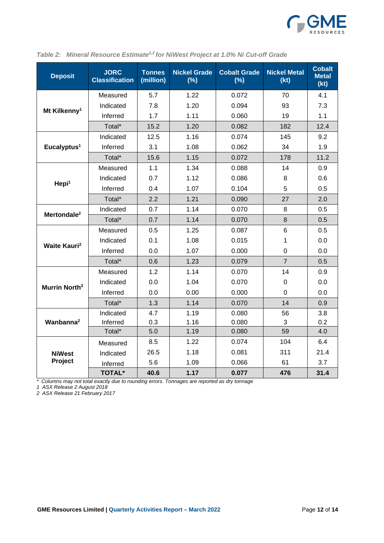

| <b>Deposit</b>                  | <b>JORC</b><br><b>Classification</b> | <b>Tonnes</b><br>(million) | <b>Nickel Grade</b><br>(%) | <b>Cobalt Grade</b><br>(%) | <b>Nickel Metal</b><br>(kt) | <b>Cobalt</b><br><b>Metal</b><br>(kt) |
|---------------------------------|--------------------------------------|----------------------------|----------------------------|----------------------------|-----------------------------|---------------------------------------|
|                                 | Measured                             | 5.7                        | 1.22                       | 0.072                      | 70                          | 4.1                                   |
|                                 | Indicated                            | 7.8                        | 1.20                       | 0.094                      | 93                          | 7.3                                   |
| Mt Kilkenny <sup>1</sup>        | Inferred                             | 1.7                        | 1.11                       | 0.060                      | 19                          | 1.1                                   |
|                                 | Total*                               | 15.2                       | 1.20                       | 0.082                      | 182                         | 12.4                                  |
|                                 | Indicated                            | 12.5                       | 1.16                       | 0.074                      | 145                         | 9.2                                   |
| Eucalyptus <sup>1</sup>         | Inferred                             | 3.1                        | 1.08                       | 0.062                      | 34                          | 1.9                                   |
|                                 | Total*                               | 15.6                       | 1.15                       | 0.072                      | 178                         | 11.2                                  |
|                                 | Measured                             | 1.1                        | 1.34                       | 0.088                      | 14                          | 0.9                                   |
|                                 | Indicated                            | 0.7                        | 1.12                       | 0.086                      | 8                           | 0.6                                   |
| Hepi <sup>1</sup>               | Inferred                             | 0.4                        | 1.07                       | 0.104                      | 5                           | 0.5                                   |
|                                 | Total*                               | 2.2                        | 1.21                       | 0.090                      | 27                          | 2.0                                   |
| Mertondale <sup>2</sup>         | Indicated                            | 0.7                        | 1.14                       | 0.070                      | 8                           | 0.5                                   |
|                                 | Total*                               | 0.7                        | 1.14                       | 0.070                      | 8                           | 0.5                                   |
|                                 | Measured                             | 0.5                        | 1.25                       | 0.087                      | 6                           | 0.5                                   |
| <b>Waite Kauri</b> <sup>2</sup> | Indicated                            | 0.1                        | 1.08                       | 0.015                      | 1                           | 0.0                                   |
|                                 | Inferred                             | 0.0                        | 1.07                       | 0.000                      | 0                           | 0.0                                   |
|                                 | Total*                               | 0.6                        | 1.23                       | 0.079                      | $\overline{7}$              | 0.5                                   |
|                                 | Measured                             | 1.2                        | 1.14                       | 0.070                      | 14                          | 0.9                                   |
| Murrin North <sup>2</sup>       | Indicated                            | 0.0                        | 1.04                       | 0.070                      | 0                           | 0.0                                   |
|                                 | Inferred                             | 0.0                        | 0.00                       | 0.000                      | $\mathbf 0$                 | 0.0                                   |
|                                 | Total*                               | 1.3                        | 1.14                       | 0.070                      | 14                          | 0.9                                   |
|                                 | Indicated                            | 4.7                        | 1.19                       | 0.080                      | 56                          | 3.8                                   |
| Wanbanna <sup>2</sup>           | Inferred                             | 0.3                        | 1.16                       | 0.080                      | 3                           | 0.2                                   |
|                                 | Total*                               | 5.0                        | 1.19                       | 0.080                      | 59                          | 4.0                                   |
|                                 | Measured                             | 8.5                        | 1.22                       | 0.074                      | 104                         | 6.4                                   |
| <b>NiWest</b>                   | Indicated                            | 26.5                       | 1.18                       | 0.081                      | 311                         | 21.4                                  |
| Project                         | Inferred                             | 5.6                        | 1.09                       | 0.066                      | 61                          | 3.7                                   |
|                                 | <b>TOTAL*</b>                        | 40.6                       | 1.17                       | 0.077                      | 476                         | 31.4                                  |

|  | Table 2: Mineral Resource Estimate <sup>1,2</sup> for NiWest Project at 1.0% Ni Cut-off Grade |  |  |  |  |  |
|--|-----------------------------------------------------------------------------------------------|--|--|--|--|--|
|--|-----------------------------------------------------------------------------------------------|--|--|--|--|--|

*\* Columns may not total exactly due to rounding errors. Tonnages are reported as dry tonnage*

*1 ASX Release 2 August 2018*

*2 ASX Release 21 February 2017*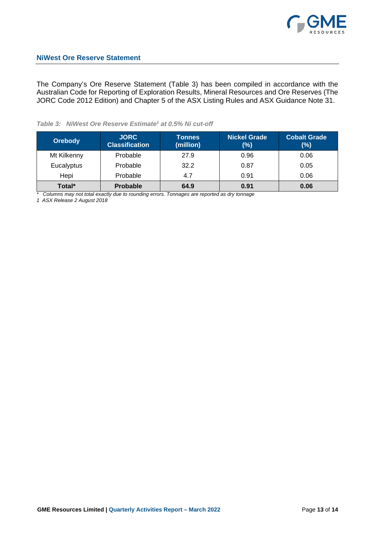

The Company's Ore Reserve Statement (Table 3) has been compiled in accordance with the Australian Code for Reporting of Exploration Results, Mineral Resources and Ore Reserves (The JORC Code 2012 Edition) and Chapter 5 of the ASX Listing Rules and ASX Guidance Note 31.

## *Table 3: NiWest Ore Reserve Estimate1 at 0.5% Ni cut-off*

| <b>Orebody</b> | <b>JORC</b><br><b>Classification</b> | <b>Tonnes</b><br>(million) | <b>Nickel Grade</b><br>(%) | <b>Cobalt Grade</b><br>$(\%)$ |
|----------------|--------------------------------------|----------------------------|----------------------------|-------------------------------|
| Mt Kilkenny    | Probable                             | 27.9                       | 0.96                       | 0.06                          |
| Eucalyptus     | Probable                             | 32.2                       | 0.87                       | 0.05                          |
| Hepi           | Probable                             | 4.7                        | 0.91                       | 0.06                          |
| Total*         | <b>Probable</b>                      | 64.9                       | 0.91                       | 0.06                          |

*\* Columns may not total exactly due to rounding errors. Tonnages are reported as dry tonnage*

*1 ASX Release 2 August 2018*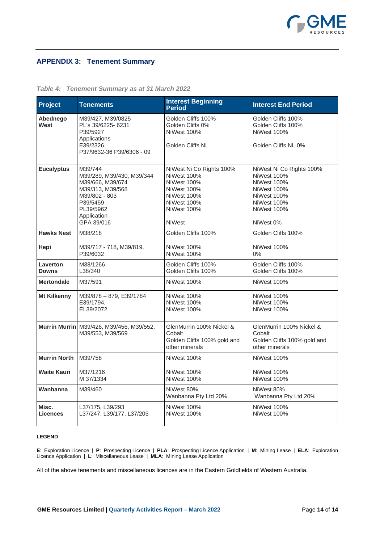

## **APPENDIX 3: Tenement Summary**

| Project                  | <b>Tenements</b>                                                                                                                                    | <b>Interest Beginning</b><br><b>Period</b>                                                                                                        | <b>Interest End Period</b>                                                                                                                           |
|--------------------------|-----------------------------------------------------------------------------------------------------------------------------------------------------|---------------------------------------------------------------------------------------------------------------------------------------------------|------------------------------------------------------------------------------------------------------------------------------------------------------|
| Abednego<br>West         | M39/427, M39/0825<br>PL's 39/6225-6231<br>P39/5927<br>Applications<br>E39/2326<br>P37/9632-36 P39/6306 - 09                                         | Golden Cliffs 100%<br>Golden Cliffs 0%<br>NiWest 100%<br>Golden Cliffs NL                                                                         | Golden Cliffs 100%<br>Golden Cliffs 100%<br>NiWest 100%<br>Golden Cliffs NL 0%                                                                       |
| <b>Eucalyptus</b>        | M39/744<br>M39/289, M39/430, M39/344<br>M39/666, M39/674<br>M39/313, M39/568<br>M39/802 - 803<br>P39/5459<br>PL39/5962<br>Application<br>GPA 39/016 | NiWest Ni Co Rights 100%<br><b>NiWest 100%</b><br><b>NiWest 100%</b><br>NiWest 100%<br>NiWest 100%<br>NiWest 100%<br>NiWest 100%<br><b>NiWest</b> | NiWest Ni Co Rights 100%<br>NiWest 100%<br><b>NiWest 100%</b><br>NiWest 100%<br>NiWest 100%<br><b>NiWest 100%</b><br><b>NiWest 100%</b><br>NiWest 0% |
| <b>Hawks Nest</b>        | M38/218                                                                                                                                             | Golden Cliffs 100%                                                                                                                                | Golden Cliffs 100%                                                                                                                                   |
| Hepi                     | M39/717 - 718, M39/819,<br>P39/6032                                                                                                                 | <b>NiWest 100%</b><br><b>NiWest 100%</b>                                                                                                          | <b>NiWest 100%</b><br>$0\%$                                                                                                                          |
| Laverton<br><b>Downs</b> | M38/1266<br>L38/340                                                                                                                                 | Golden Cliffs 100%<br>Golden Cliffs 100%                                                                                                          | Golden Cliffs 100%<br>Golden Cliffs 100%                                                                                                             |
| <b>Mertondale</b>        | M37/591                                                                                                                                             | <b>NiWest 100%</b>                                                                                                                                | <b>NiWest 100%</b>                                                                                                                                   |
| <b>Mt Kilkenny</b>       | M39/878-879, E39/1784<br>E39/1794.<br>EL39/2072                                                                                                     | NiWest 100%<br>NiWest 100%<br><b>NiWest 100%</b>                                                                                                  | NiWest 100%<br>NiWest 100%<br>NiWest 100%                                                                                                            |
|                          | Murrin Murrin M39/426, M39/456, M39/552,<br>M39/553, M39/569                                                                                        | GlenMurrin 100% Nickel &<br>Cobalt<br>Golden Cliffs 100% gold and<br>other minerals                                                               | GlenMurrin 100% Nickel &<br>Cobalt<br>Golden Cliffs 100% gold and<br>other minerals                                                                  |
| <b>Murrin North</b>      | M39/758                                                                                                                                             | NiWest 100%                                                                                                                                       | NiWest 100%                                                                                                                                          |
| <b>Waite Kauri</b>       | M37/1216<br>M 37/1334                                                                                                                               | NiWest 100%<br>NiWest 100%                                                                                                                        | NiWest 100%<br>NiWest 100%                                                                                                                           |
| Wanbanna                 | M39/460                                                                                                                                             | NiWest 80%<br>Wanbanna Pty Ltd 20%                                                                                                                | NiWest 80%<br>Wanbanna Pty Ltd 20%                                                                                                                   |
| Misc.<br><b>Licences</b> | L37/175, L39/293<br>L37/247, L39/177, L37/205                                                                                                       | <b>NiWest 100%</b><br><b>NiWest 100%</b>                                                                                                          | NiWest 100%<br>NiWest 100%                                                                                                                           |

#### *Table 4: Tenement Summary as at 31 March 2022*

#### **LEGEND**

**E**: Exploration Licence | **P**: Prospecting Licence | **PLA**: Prospecting Licence Application | **M**: Mining Lease | **ELA**: Exploration Licence Application | **L**: Miscellaneous Lease | **MLA**: Mining Lease Application

All of the above tenements and miscellaneous licences are in the Eastern Goldfields of Western Australia.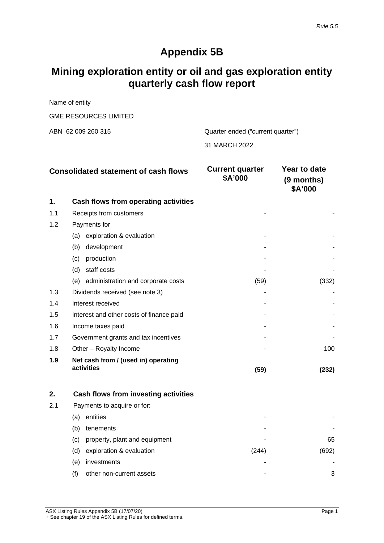## **Appendix 5B**

# **Mining exploration entity or oil and gas exploration entity quarterly cash flow report**

Name of entity

GME RESOURCES LIMITED

ABN 62 009 260 315 Quarter ended ("current quarter")

31 MARCH 2022

|     | <b>Consolidated statement of cash flows</b>       | <b>Current quarter</b><br>\$A'000 | Year to date<br>(9 months)<br>\$A'000 |
|-----|---------------------------------------------------|-----------------------------------|---------------------------------------|
| 1.  | Cash flows from operating activities              |                                   |                                       |
| 1.1 | Receipts from customers                           |                                   |                                       |
| 1.2 | Payments for                                      |                                   |                                       |
|     | exploration & evaluation<br>(a)                   |                                   |                                       |
|     | development<br>(b)                                |                                   |                                       |
|     | production<br>(c)                                 |                                   |                                       |
|     | staff costs<br>(d)                                |                                   |                                       |
|     | administration and corporate costs<br>(e)         | (59)                              | (332)                                 |
| 1.3 | Dividends received (see note 3)                   |                                   |                                       |
| 1.4 | Interest received                                 |                                   |                                       |
| 1.5 | Interest and other costs of finance paid          |                                   |                                       |
| 1.6 | Income taxes paid                                 |                                   |                                       |
| 1.7 | Government grants and tax incentives              |                                   |                                       |
| 1.8 | Other - Royalty Income                            |                                   | 100                                   |
| 1.9 | Net cash from / (used in) operating<br>activities | (59)                              | (232)                                 |

| 2.  | Cash flows from investing activities |       |       |
|-----|--------------------------------------|-------|-------|
| 2.1 | Payments to acquire or for:          |       |       |
|     | entities<br>(a)                      | -     |       |
|     | tenements<br>(b)                     | -     |       |
|     | property, plant and equipment<br>(C) | -     | 65    |
|     | exploration & evaluation<br>(d)      | (244) | (692) |
|     | investments<br>(e)                   | -     |       |
|     | other non-current assets<br>(f)      | ۰     | 3     |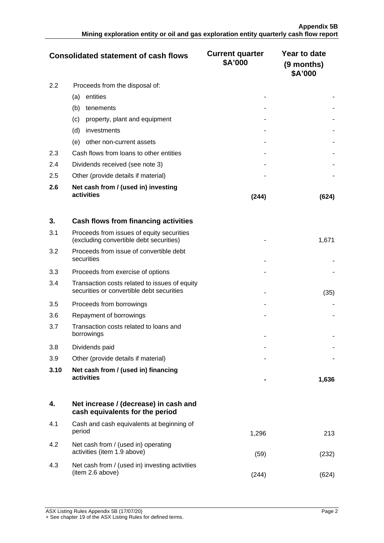|     | <b>Consolidated statement of cash flows</b>       | <b>Current quarter</b><br>\$A'000 | Year to date<br>(9 months)<br>\$A'000 |
|-----|---------------------------------------------------|-----------------------------------|---------------------------------------|
| 2.2 | Proceeds from the disposal of:                    |                                   |                                       |
|     | entities<br>(a)                                   |                                   |                                       |
|     | (b)<br>tenements                                  |                                   |                                       |
|     | property, plant and equipment<br>(c)              |                                   |                                       |
|     | (d)<br>investments                                |                                   |                                       |
|     | other non-current assets<br>(e)                   |                                   |                                       |
| 2.3 | Cash flows from loans to other entities           |                                   |                                       |
| 2.4 | Dividends received (see note 3)                   |                                   |                                       |
| 2.5 | Other (provide details if material)               |                                   |                                       |
| 2.6 | Net cash from / (used in) investing<br>activities | (244)                             | l624                                  |

| 3.   | Cash flows from financing activities                                                       |       |
|------|--------------------------------------------------------------------------------------------|-------|
| 3.1  | Proceeds from issues of equity securities<br>(excluding convertible debt securities)       | 1,671 |
| 3.2  | Proceeds from issue of convertible debt<br>securities                                      |       |
| 3.3  | Proceeds from exercise of options                                                          |       |
| 3.4  | Transaction costs related to issues of equity<br>securities or convertible debt securities | (35)  |
| 3.5  | Proceeds from borrowings                                                                   |       |
| 3.6  | Repayment of borrowings                                                                    |       |
| 3.7  | Transaction costs related to loans and<br>borrowings                                       |       |
| 3.8  | Dividends paid                                                                             |       |
| 3.9  | Other (provide details if material)                                                        |       |
| 3.10 | Net cash from / (used in) financing<br>activities                                          | 1,636 |

|     | Net increase / (decrease) in cash and<br>cash equivalents for the period |       |     |
|-----|--------------------------------------------------------------------------|-------|-----|
| 4.1 | Cash and cash equivalents at beginning of<br>period                      | 1.296 | 213 |
| 4.2 | Net cash from / (used in) operating<br>activities (item 1.9 above)       | (59   |     |
| 4.3 | Net cash from / (used in) investing activities<br>(item 2.6 above)       |       |     |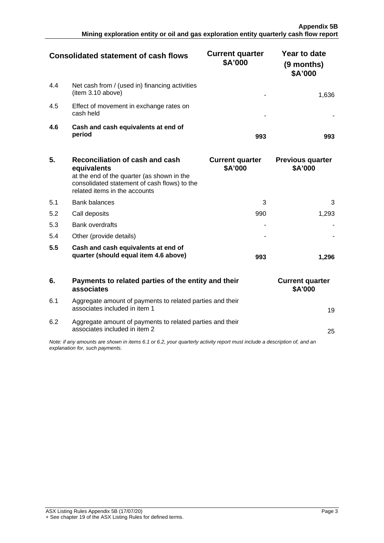|     | <b>Consolidated statement of cash flows</b>                         | <b>Current quarter</b><br>\$A'000 | Year to date<br>(9 months)<br>\$A'000 |
|-----|---------------------------------------------------------------------|-----------------------------------|---------------------------------------|
| 4.4 | Net cash from / (used in) financing activities<br>(item 3.10 above) |                                   |                                       |
| 4.5 | Effect of movement in exchange rates on<br>cash held                |                                   |                                       |
| 4.6 | Cash and cash equivalents at end of<br>period                       | 993                               |                                       |

| 5.  | Reconciliation of cash and cash<br>equivalents<br>at the end of the quarter (as shown in the<br>consolidated statement of cash flows) to the<br>related items in the accounts | <b>Current quarter</b><br>\$A'000 | <b>Previous quarter</b><br>\$A'000 |
|-----|-------------------------------------------------------------------------------------------------------------------------------------------------------------------------------|-----------------------------------|------------------------------------|
| 5.1 | <b>Bank balances</b>                                                                                                                                                          | 3                                 |                                    |
| 5.2 | Call deposits                                                                                                                                                                 | 990                               | 1.293                              |
| 5.3 | <b>Bank overdrafts</b>                                                                                                                                                        |                                   |                                    |
| 5.4 | Other (provide details)                                                                                                                                                       |                                   |                                    |
| 5.5 | Cash and cash equivalents at end of<br>quarter (should equal item 4.6 above)                                                                                                  | 993                               |                                    |

|                                                                                                                                                             | Payments to related parties of the entity and their<br>associates                          | <b>Current quarter</b><br><b>\$A'000</b> |  |  |
|-------------------------------------------------------------------------------------------------------------------------------------------------------------|--------------------------------------------------------------------------------------------|------------------------------------------|--|--|
| 6.1                                                                                                                                                         | Aggregate amount of payments to related parties and their<br>associates included in item 1 |                                          |  |  |
| 6.2                                                                                                                                                         | Aggregate amount of payments to related parties and their<br>associates included in item 2 | 25                                       |  |  |
| Note: if any amounts are shown in items 6.1 or 6.2, your quarterly activity report must include a description of, and an<br>explanation for, such payments. |                                                                                            |                                          |  |  |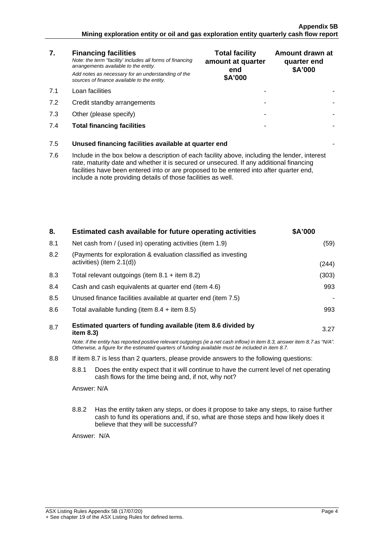#### **Appendix 5B Mining exploration entity or oil and gas exploration entity quarterly cash flow report**

| 7.  | <b>Financing facilities</b><br>Note: the term "facility' includes all forms of financing<br>arrangements available to the entity.<br>Add notes as necessary for an understanding of the<br>sources of finance available to the entity.                                                                                                               | <b>Total facility</b><br>amount at quarter<br>end<br>\$A'000 | Amount drawn at<br>quarter end<br>\$A'000 |  |
|-----|------------------------------------------------------------------------------------------------------------------------------------------------------------------------------------------------------------------------------------------------------------------------------------------------------------------------------------------------------|--------------------------------------------------------------|-------------------------------------------|--|
| 7.1 | Loan facilities                                                                                                                                                                                                                                                                                                                                      |                                                              |                                           |  |
| 7.2 | Credit standby arrangements                                                                                                                                                                                                                                                                                                                          |                                                              |                                           |  |
| 7.3 | Other (please specify)                                                                                                                                                                                                                                                                                                                               |                                                              |                                           |  |
| 7.4 | <b>Total financing facilities</b>                                                                                                                                                                                                                                                                                                                    |                                                              |                                           |  |
| 7.5 | Unused financing facilities available at quarter end                                                                                                                                                                                                                                                                                                 |                                                              |                                           |  |
| 7.6 | Include in the box below a description of each facility above, including the lender, interest<br>rate, maturity date and whether it is secured or unsecured. If any additional financing<br>facilities have been entered into or are proposed to be entered into after quarter end,<br>include a note providing details of those facilities as well. |                                                              |                                           |  |
|     |                                                                                                                                                                                                                                                                                                                                                      |                                                              |                                           |  |

| 8.  |                                                                                                                                                                                                                                 | Estimated cash available for future operating activities                                    | \$A'000 |
|-----|---------------------------------------------------------------------------------------------------------------------------------------------------------------------------------------------------------------------------------|---------------------------------------------------------------------------------------------|---------|
| 8.1 |                                                                                                                                                                                                                                 | Net cash from / (used in) operating activities (item 1.9)                                   | (59)    |
| 8.2 |                                                                                                                                                                                                                                 | (Payments for exploration & evaluation classified as investing<br>activities) (item 2.1(d)) | (244)   |
| 8.3 |                                                                                                                                                                                                                                 | Total relevant outgoings (item $8.1 +$ item $8.2$ )                                         | (303)   |
| 8.4 |                                                                                                                                                                                                                                 | Cash and cash equivalents at quarter end (item 4.6)                                         | 993     |
| 8.5 |                                                                                                                                                                                                                                 | Unused finance facilities available at quarter end (item 7.5)                               |         |
| 8.6 |                                                                                                                                                                                                                                 | Total available funding (item $8.4 +$ item $8.5$ )                                          | 993     |
| 8.7 | Estimated quarters of funding available (item 8.6 divided by<br>3.27<br>item 8.3)                                                                                                                                               |                                                                                             |         |
|     | Note: if the entity has reported positive relevant outgoings (ie a net cash inflow) in item 8.3, answer item 8.7 as "N/A".<br>Otherwise, a figure for the estimated quarters of funding available must be included in item 8.7. |                                                                                             |         |
| 8.8 | If item 8.7 is less than 2 quarters, please provide answers to the following questions:                                                                                                                                         |                                                                                             |         |
|     | 8.8.1<br>Does the entity expect that it will continue to have the current level of net operating<br>cash flows for the time being and, if not, why not?                                                                         |                                                                                             |         |
|     | Answer: N/A                                                                                                                                                                                                                     |                                                                                             |         |
|     | 8.8.2<br>Has the entity taken any steps, or does it propose to take any steps, to raise further<br>cash to fund its operations and, if so, what are those steps and how likely does it<br>believe that they will be successful? |                                                                                             |         |
|     | Answer: N/A                                                                                                                                                                                                                     |                                                                                             |         |
|     |                                                                                                                                                                                                                                 |                                                                                             |         |